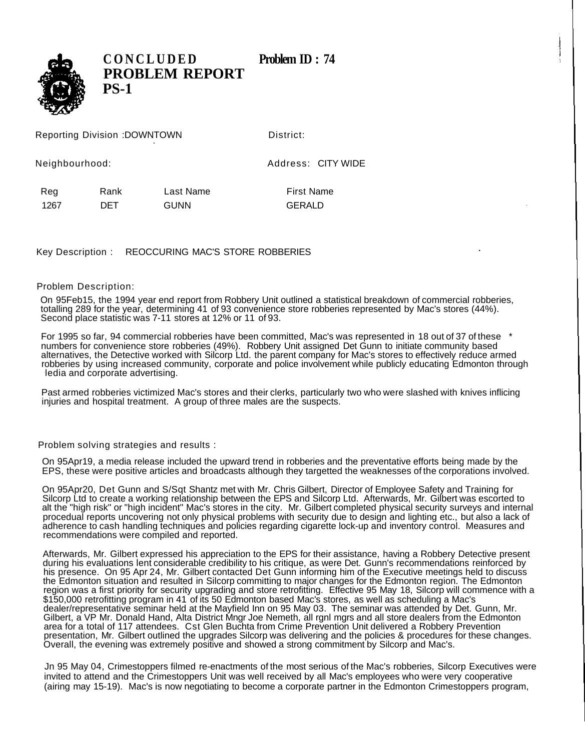

**CONCLUDED** Problem **ID** : 74 **PROBLEM REPORT PS-1**

Reporting Division :DOWNTOWN District:

Neighbourhood: Address: CITY WIDE

Reg Rank Last Name First Name 1267 DET GUNN GERALD

Key Description : REOCCURING MAC'S STORE ROBBERIES

## Problem Description:

On 95Feb15, the 1994 year end report from Robbery Unit outlined a statistical breakdown of commercial robberies, totalling 289 for the year, determining 41 of 93 convenience store robberies represented by Mac's stores (44%). Second place statistic was 7-11 stores at 12% or 11 of 93.

For 1995 so far, 94 commercial robberies have been committed, Mac's was represented in 18 out of 37 of these \* numbers for convenience store robberies (49%). Robbery Unit assigned Det Gunn to initiate community based alternatives, the Detective worked with Silcorp Ltd. the parent company for Mac's stores to effectively reduce armed robberies by using increased community, corporate and police involvement while publicly educating Edmonton through ledia and corporate advertising.

Past armed robberies victimized Mac's stores and their clerks, particularly two who were slashed with knives inflicing injuries and hospital treatment. A group of three males are the suspects.

Problem solving strategies and results :

On 95Apr19, a media release included the upward trend in robberies and the preventative efforts being made by the EPS, these were positive articles and broadcasts although they targetted the weaknesses of the corporations involved.

On 95Apr20, Det Gunn and S/Sqt Shantz met with Mr. Chris Gilbert, Director of Employee Safety and Training for Silcorp Ltd to create a working relationship between the EPS and Silcorp Ltd. Afterwards, Mr. Gilbert was escorted to alt the "high risk" or "high incident" Mac's stores in the city. Mr. Gilbert completed physical security surveys and internal procedual reports uncovering not only physical problems with security due to design and lighting etc., but also a lack of adherence to cash handling techniques and policies regarding cigarette lock-up and inventory control. Measures and recommendations were compiled and reported.

Afterwards, Mr. Gilbert expressed his appreciation to the EPS for their assistance, having a Robbery Detective present during his evaluations lent considerable credibility to his critique, as were Det. Gunn's recommendations reinforced by his presence. On 95 Apr 24, Mr. Gilbert contacted Det Gunn informing him of the Executive meetings held to discuss the Edmonton situation and resulted in Silcorp committing to major changes for the Edmonton region. The Edmonton region was a first priority for security upgrading and store retrofitting. Effective 95 May 18, Silcorp will commence with a \$150,000 retrofitting program in 41 of its 50 Edmonton based Mac's stores, as well as scheduling a Mac's dealer/representative seminar held at the Mayfield Inn on 95 May 03. The seminar was attended by Det. Gunn, Mr. Gilbert, a VP Mr. Donald Hand, Alta District Mngr Joe Nemeth, all rgnl mgrs and all store dealers from the Edmonton area for a total of 117 attendees. Cst Glen Buchta from Crime Prevention Unit delivered a Robbery Prevention presentation, Mr. Gilbert outlined the upgrades Silcorp was delivering and the policies & procedures for these changes. Overall, the evening was extremely positive and showed a strong commitment by Silcorp and Mac's.

Jn 95 May 04, Crimestoppers filmed re-enactments of the most serious of the Mac's robberies, Silcorp Executives were invited to attend and the Crimestoppers Unit was well received by all Mac's employees who were very cooperative (airing may 15-19). Mac's is now negotiating to become a corporate partner in the Edmonton Crimestoppers program,